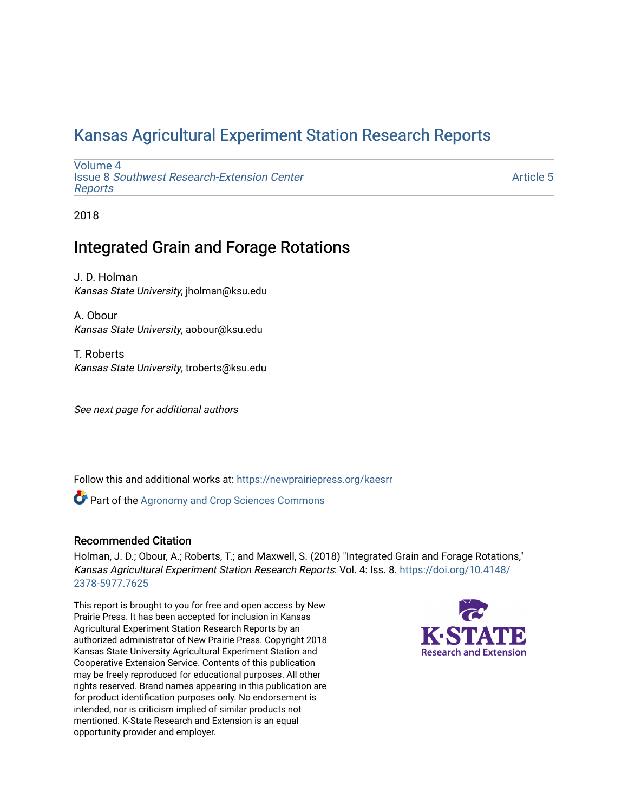### [Kansas Agricultural Experiment Station Research Reports](https://newprairiepress.org/kaesrr)

[Volume 4](https://newprairiepress.org/kaesrr/vol4) Issue 8 [Southwest Research-Extension Center](https://newprairiepress.org/kaesrr/vol4/iss8)  [Reports](https://newprairiepress.org/kaesrr/vol4/iss8)

[Article 5](https://newprairiepress.org/kaesrr/vol4/iss8/5) 

2018

### Integrated Grain and Forage Rotations

J. D. Holman Kansas State University, jholman@ksu.edu

A. Obour Kansas State University, aobour@ksu.edu

T. Roberts Kansas State University, troberts@ksu.edu

See next page for additional authors

Follow this and additional works at: [https://newprairiepress.org/kaesrr](https://newprairiepress.org/kaesrr?utm_source=newprairiepress.org%2Fkaesrr%2Fvol4%2Fiss8%2F5&utm_medium=PDF&utm_campaign=PDFCoverPages) 

**Part of the Agronomy and Crop Sciences Commons** 

#### Recommended Citation

Holman, J. D.; Obour, A.; Roberts, T.; and Maxwell, S. (2018) "Integrated Grain and Forage Rotations," Kansas Agricultural Experiment Station Research Reports: Vol. 4: Iss. 8. [https://doi.org/10.4148/](https://doi.org/10.4148/2378-5977.7625) [2378-5977.7625](https://doi.org/10.4148/2378-5977.7625) 

This report is brought to you for free and open access by New Prairie Press. It has been accepted for inclusion in Kansas Agricultural Experiment Station Research Reports by an authorized administrator of New Prairie Press. Copyright 2018 Kansas State University Agricultural Experiment Station and Cooperative Extension Service. Contents of this publication may be freely reproduced for educational purposes. All other rights reserved. Brand names appearing in this publication are for product identification purposes only. No endorsement is intended, nor is criticism implied of similar products not mentioned. K-State Research and Extension is an equal opportunity provider and employer.

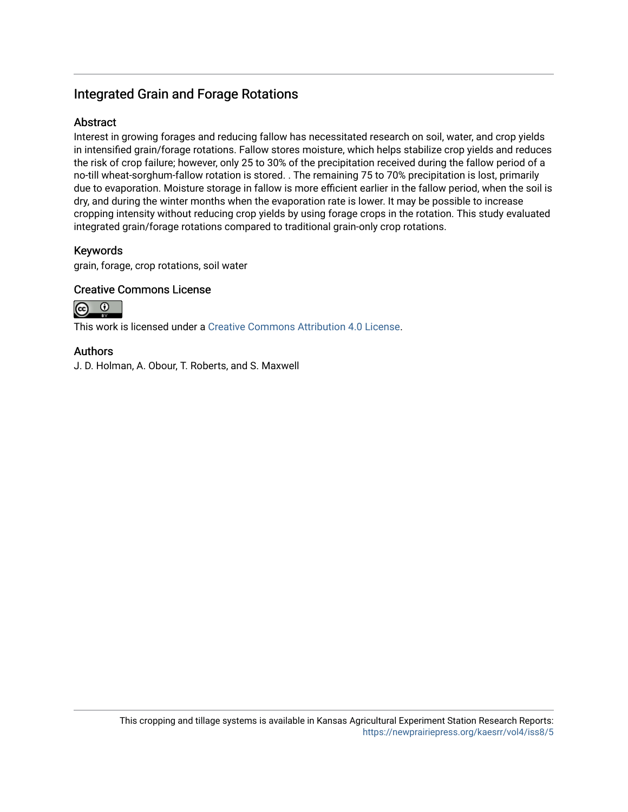### Integrated Grain and Forage Rotations

#### Abstract

Interest in growing forages and reducing fallow has necessitated research on soil, water, and crop yields in intensified grain/forage rotations. Fallow stores moisture, which helps stabilize crop yields and reduces the risk of crop failure; however, only 25 to 30% of the precipitation received during the fallow period of a no-till wheat-sorghum-fallow rotation is stored. . The remaining 75 to 70% precipitation is lost, primarily due to evaporation. Moisture storage in fallow is more efficient earlier in the fallow period, when the soil is dry, and during the winter months when the evaporation rate is lower. It may be possible to increase cropping intensity without reducing crop yields by using forage crops in the rotation. This study evaluated integrated grain/forage rotations compared to traditional grain-only crop rotations.

#### Keywords

grain, forage, crop rotations, soil water

#### Creative Commons License



This work is licensed under a [Creative Commons Attribution 4.0 License](https://creativecommons.org/licenses/by/4.0/).

#### Authors

J. D. Holman, A. Obour, T. Roberts, and S. Maxwell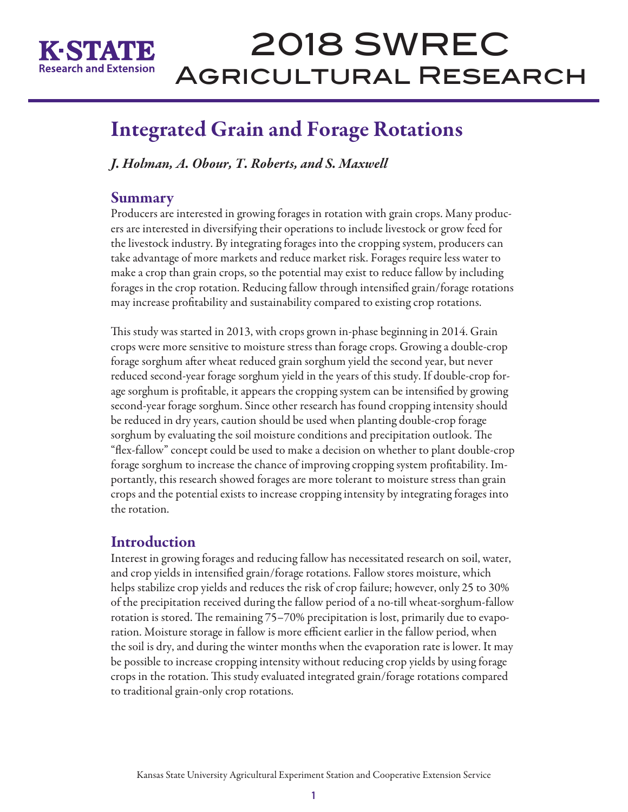

## Integrated Grain and Forage Rotations

*J. Holman, A. Obour, T. Roberts, and S. Maxwell*

### Summary

Producers are interested in growing forages in rotation with grain crops. Many producers are interested in diversifying their operations to include livestock or grow feed for the livestock industry. By integrating forages into the cropping system, producers can take advantage of more markets and reduce market risk. Forages require less water to make a crop than grain crops, so the potential may exist to reduce fallow by including forages in the crop rotation. Reducing fallow through intensified grain/forage rotations may increase profitability and sustainability compared to existing crop rotations.

This study was started in 2013, with crops grown in-phase beginning in 2014. Grain crops were more sensitive to moisture stress than forage crops. Growing a double-crop forage sorghum after wheat reduced grain sorghum yield the second year, but never reduced second-year forage sorghum yield in the years of this study. If double-crop forage sorghum is profitable, it appears the cropping system can be intensified by growing second-year forage sorghum. Since other research has found cropping intensity should be reduced in dry years, caution should be used when planting double-crop forage sorghum by evaluating the soil moisture conditions and precipitation outlook. The "flex-fallow" concept could be used to make a decision on whether to plant double-crop forage sorghum to increase the chance of improving cropping system profitability. Importantly, this research showed forages are more tolerant to moisture stress than grain crops and the potential exists to increase cropping intensity by integrating forages into the rotation.

### Introduction

Interest in growing forages and reducing fallow has necessitated research on soil, water, and crop yields in intensified grain/forage rotations. Fallow stores moisture, which helps stabilize crop yields and reduces the risk of crop failure; however, only 25 to 30% of the precipitation received during the fallow period of a no-till wheat-sorghum-fallow rotation is stored. The remaining 75–70% precipitation is lost, primarily due to evaporation. Moisture storage in fallow is more efficient earlier in the fallow period, when the soil is dry, and during the winter months when the evaporation rate is lower. It may be possible to increase cropping intensity without reducing crop yields by using forage crops in the rotation. This study evaluated integrated grain/forage rotations compared to traditional grain-only crop rotations.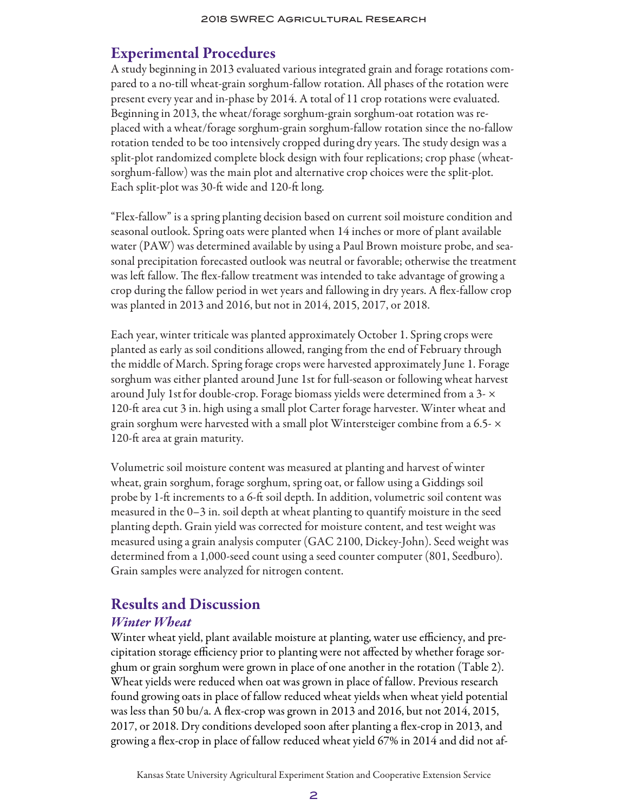### Experimental Procedures

A study beginning in 2013 evaluated various integrated grain and forage rotations compared to a no-till wheat-grain sorghum-fallow rotation. All phases of the rotation were present every year and in-phase by 2014. A total of 11 crop rotations were evaluated. Beginning in 2013, the wheat/forage sorghum-grain sorghum-oat rotation was replaced with a wheat/forage sorghum-grain sorghum-fallow rotation since the no-fallow rotation tended to be too intensively cropped during dry years. The study design was a split-plot randomized complete block design with four replications; crop phase (wheatsorghum-fallow) was the main plot and alternative crop choices were the split-plot. Each split-plot was 30-ft wide and 120-ft long.

"Flex-fallow" is a spring planting decision based on current soil moisture condition and seasonal outlook. Spring oats were planted when 14 inches or more of plant available water (PAW) was determined available by using a Paul Brown moisture probe, and seasonal precipitation forecasted outlook was neutral or favorable; otherwise the treatment was left fallow. The flex-fallow treatment was intended to take advantage of growing a crop during the fallow period in wet years and fallowing in dry years. A flex-fallow crop was planted in 2013 and 2016, but not in 2014, 2015, 2017, or 2018.

Each year, winter triticale was planted approximately October 1. Spring crops were planted as early as soil conditions allowed, ranging from the end of February through the middle of March. Spring forage crops were harvested approximately June 1. Forage sorghum was either planted around June 1st for full-season or following wheat harvest around July 1st for double-crop. Forage biomass yields were determined from a 3- $\times$ 120-ft area cut 3 in. high using a small plot Carter forage harvester. Winter wheat and grain sorghum were harvested with a small plot Wintersteiger combine from a 6.5- $\times$ 120-ft area at grain maturity.

Volumetric soil moisture content was measured at planting and harvest of winter wheat, grain sorghum, forage sorghum, spring oat, or fallow using a Giddings soil probe by 1-ft increments to a 6-ft soil depth. In addition, volumetric soil content was measured in the 0–3 in. soil depth at wheat planting to quantify moisture in the seed planting depth. Grain yield was corrected for moisture content, and test weight was measured using a grain analysis computer (GAC 2100, Dickey-John). Seed weight was determined from a 1,000-seed count using a seed counter computer (801, Seedburo). Grain samples were analyzed for nitrogen content.

### Results and Discussion

### *Winter Wheat*

Winter wheat yield, plant available moisture at planting, water use efficiency, and precipitation storage efficiency prior to planting were not affected by whether forage sorghum or grain sorghum were grown in place of one another in the rotation (Table 2). Wheat yields were reduced when oat was grown in place of fallow. Previous research found growing oats in place of fallow reduced wheat yields when wheat yield potential was less than 50 bu/a. A flex-crop was grown in 2013 and 2016, but not 2014, 2015, 2017, or 2018. Dry conditions developed soon after planting a flex-crop in 2013, and growing a flex-crop in place of fallow reduced wheat yield 67% in 2014 and did not af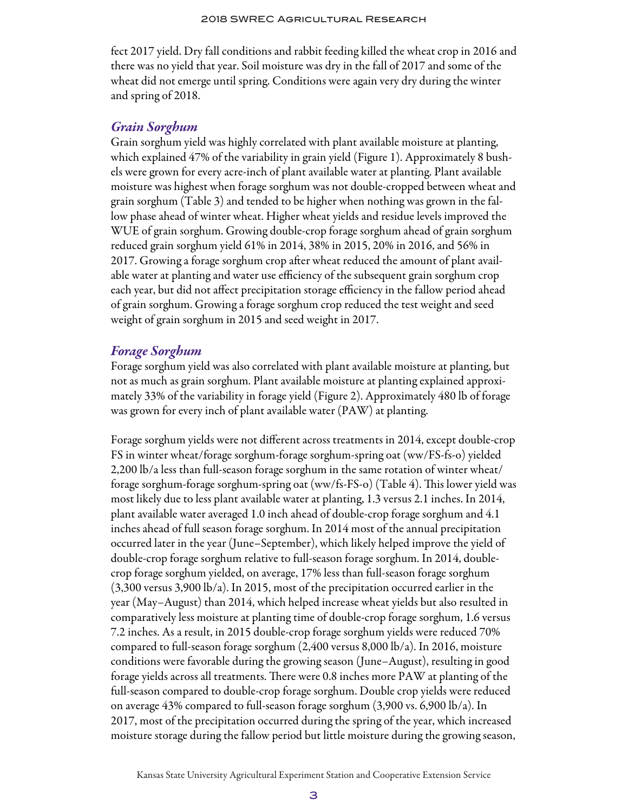fect 2017 yield. Dry fall conditions and rabbit feeding killed the wheat crop in 2016 and there was no yield that year. Soil moisture was dry in the fall of 2017 and some of the wheat did not emerge until spring. Conditions were again very dry during the winter and spring of 2018.

#### *Grain Sorghum*

Grain sorghum yield was highly correlated with plant available moisture at planting, which explained 47% of the variability in grain yield (Figure 1). Approximately 8 bushels were grown for every acre-inch of plant available water at planting. Plant available moisture was highest when forage sorghum was not double-cropped between wheat and grain sorghum (Table 3) and tended to be higher when nothing was grown in the fallow phase ahead of winter wheat. Higher wheat yields and residue levels improved the WUE of grain sorghum. Growing double-crop forage sorghum ahead of grain sorghum reduced grain sorghum yield 61% in 2014, 38% in 2015, 20% in 2016, and 56% in 2017. Growing a forage sorghum crop after wheat reduced the amount of plant available water at planting and water use efficiency of the subsequent grain sorghum crop each year, but did not affect precipitation storage efficiency in the fallow period ahead of grain sorghum. Growing a forage sorghum crop reduced the test weight and seed weight of grain sorghum in 2015 and seed weight in 2017.

### *Forage Sorghum*

Forage sorghum yield was also correlated with plant available moisture at planting, but not as much as grain sorghum. Plant available moisture at planting explained approximately 33% of the variability in forage yield (Figure 2). Approximately 480 lb of forage was grown for every inch of plant available water (PAW) at planting.

Forage sorghum yields were not different across treatments in 2014, except double-crop FS in winter wheat/forage sorghum-forage sorghum-spring oat (ww/FS-fs-o) yielded 2,200 lb/a less than full-season forage sorghum in the same rotation of winter wheat/ forage sorghum-forage sorghum-spring oat (ww/fs-FS-o) (Table 4). This lower yield was most likely due to less plant available water at planting, 1.3 versus 2.1 inches. In 2014, plant available water averaged 1.0 inch ahead of double-crop forage sorghum and 4.1 inches ahead of full season forage sorghum. In 2014 most of the annual precipitation occurred later in the year (June–September), which likely helped improve the yield of double-crop forage sorghum relative to full-season forage sorghum. In 2014, doublecrop forage sorghum yielded, on average, 17% less than full-season forage sorghum (3,300 versus 3,900 lb/a). In 2015, most of the precipitation occurred earlier in the year (May–August) than 2014, which helped increase wheat yields but also resulted in comparatively less moisture at planting time of double-crop forage sorghum, 1.6 versus 7.2 inches. As a result, in 2015 double-crop forage sorghum yields were reduced 70% compared to full-season forage sorghum (2,400 versus 8,000 lb/a). In 2016, moisture conditions were favorable during the growing season (June–August), resulting in good forage yields across all treatments. There were 0.8 inches more PAW at planting of the full-season compared to double-crop forage sorghum. Double crop yields were reduced on average 43% compared to full-season forage sorghum (3,900 vs. 6,900 lb/a). In 2017, most of the precipitation occurred during the spring of the year, which increased moisture storage during the fallow period but little moisture during the growing season,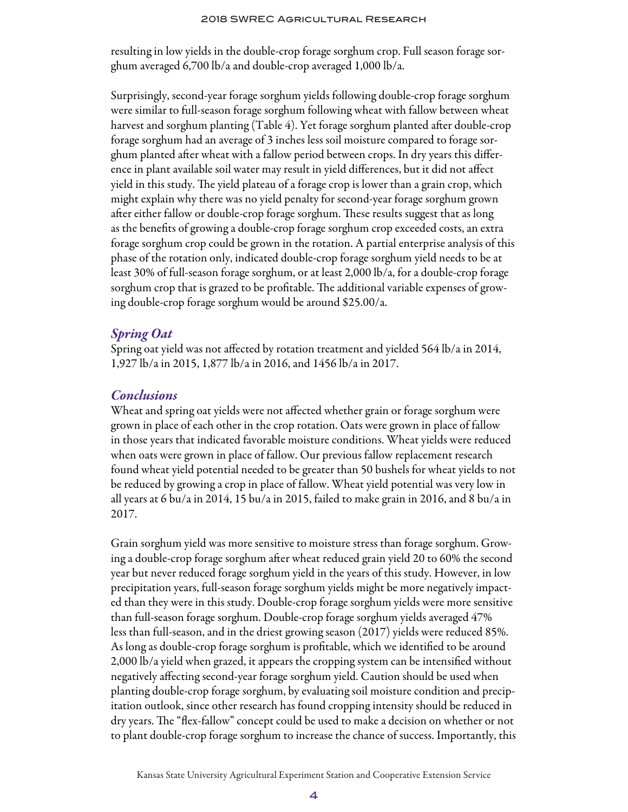resulting in low yields in the double-crop forage sorghum crop. Full season forage sorghum averaged 6,700 lb/a and double-crop averaged 1,000 lb/a.

Surprisingly, second-year forage sorghum yields following double-crop forage sorghum were similar to full-season forage sorghum following wheat with fallow between wheat harvest and sorghum planting (Table 4). Yet forage sorghum planted after double-crop forage sorghum had an average of 3 inches less soil moisture compared to forage sorghum planted after wheat with a fallow period between crops. In dry years this difference in plant available soil water may result in yield differences, but it did not affect yield in this study. The yield plateau of a forage crop is lower than a grain crop, which might explain why there was no yield penalty for second-year forage sorghum grown after either fallow or double-crop forage sorghum. These results suggest that as long as the benefits of growing a double-crop forage sorghum crop exceeded costs, an extra forage sorghum crop could be grown in the rotation. A partial enterprise analysis of this phase of the rotation only, indicated double-crop forage sorghum yield needs to be at least 30% of full-season forage sorghum, or at least 2,000 lb/a, for a double-crop forage sorghum crop that is grazed to be profitable. The additional variable expenses of growing double-crop forage sorghum would be around \$25.00/a.

### *Spring Oat*

Spring oat yield was not affected by rotation treatment and yielded 564 lb/a in 2014, 1,927 lb/a in 2015, 1,877 lb/a in 2016, and 1456 lb/a in 2017.

### *Conclusions*

Wheat and spring oat yields were not affected whether grain or forage sorghum were grown in place of each other in the crop rotation. Oats were grown in place of fallow in those years that indicated favorable moisture conditions. Wheat yields were reduced when oats were grown in place of fallow. Our previous fallow replacement research found wheat yield potential needed to be greater than 50 bushels for wheat yields to not be reduced by growing a crop in place of fallow. Wheat yield potential was very low in all years at 6 bu/a in 2014, 15 bu/a in 2015, failed to make grain in 2016, and 8 bu/a in 2017.

Grain sorghum yield was more sensitive to moisture stress than forage sorghum. Growing a double-crop forage sorghum after wheat reduced grain yield 20 to 60% the second year but never reduced forage sorghum yield in the years of this study. However, in low precipitation years, full-season forage sorghum yields might be more negatively impacted than they were in this study. Double-crop forage sorghum yields were more sensitive than full-season forage sorghum. Double-crop forage sorghum yields averaged 47% less than full-season, and in the driest growing season (2017) yields were reduced 85%. As long as double-crop forage sorghum is profitable, which we identified to be around 2,000 lb/a yield when grazed, it appears the cropping system can be intensified without negatively affecting second-year forage sorghum yield. Caution should be used when planting double-crop forage sorghum, by evaluating soil moisture condition and precipitation outlook, since other research has found cropping intensity should be reduced in dry years. The "flex-fallow" concept could be used to make a decision on whether or not to plant double-crop forage sorghum to increase the chance of success. Importantly, this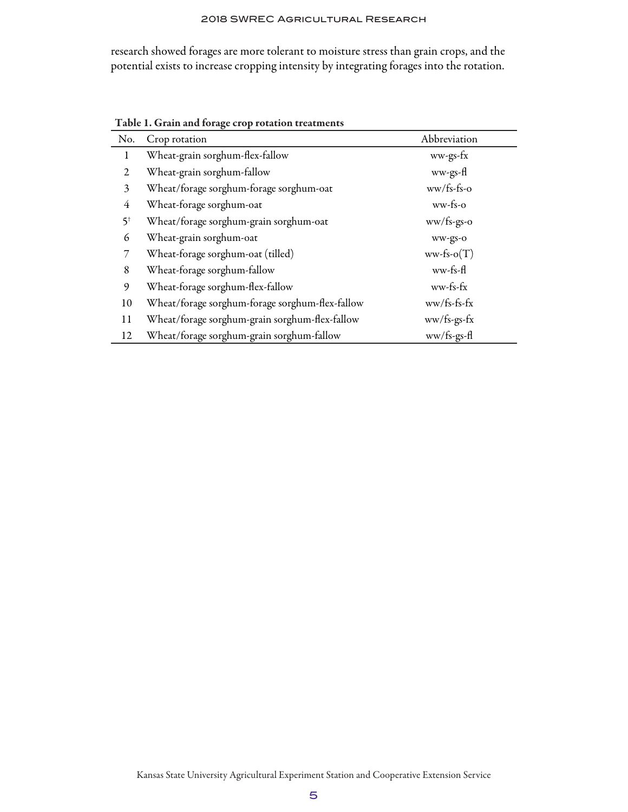research showed forages are more tolerant to moisture stress than grain crops, and the potential exists to increase cropping intensity by integrating forages into the rotation.

| No.            | Crop rotation                                   | Abbreviation               |
|----------------|-------------------------------------------------|----------------------------|
| 1              | Wheat-grain sorghum-flex-fallow                 | ww-gs-fx                   |
| 2              | Wheat-grain sorghum-fallow                      | ww-gs-fl                   |
| 3              | Wheat/forage sorghum-forage sorghum-oat         | $ww/fs-fs-o$               |
| 4              | Wheat-forage sorghum-oat                        | $ww$ -fs-o                 |
| 5 <sup>†</sup> | Wheat/forage sorghum-grain sorghum-oat          | $ww/fs-gs-o$               |
| 6              | Wheat-grain sorghum-oat                         | ww-gs-o                    |
| 7              | Wheat-forage sorghum-oat (tilled)               | $ww\text{-}fs\text{-}o(T)$ |
| 8              | Wheat-forage sorghum-fallow                     | ww-fs-fl                   |
| 9              | Wheat-forage sorghum-flex-fallow                | ww-fs-fx                   |
| 10             | Wheat/forage sorghum-forage sorghum-flex-fallow | $ww/fs-fs-fx$              |
| 11             | Wheat/forage sorghum-grain sorghum-flex-fallow  | ww/fs-gs-fx                |
| 12             | Wheat/forage sorghum-grain sorghum-fallow       | ww/fs-gs-fl                |

Table 1. Grain and forage crop rotation treatments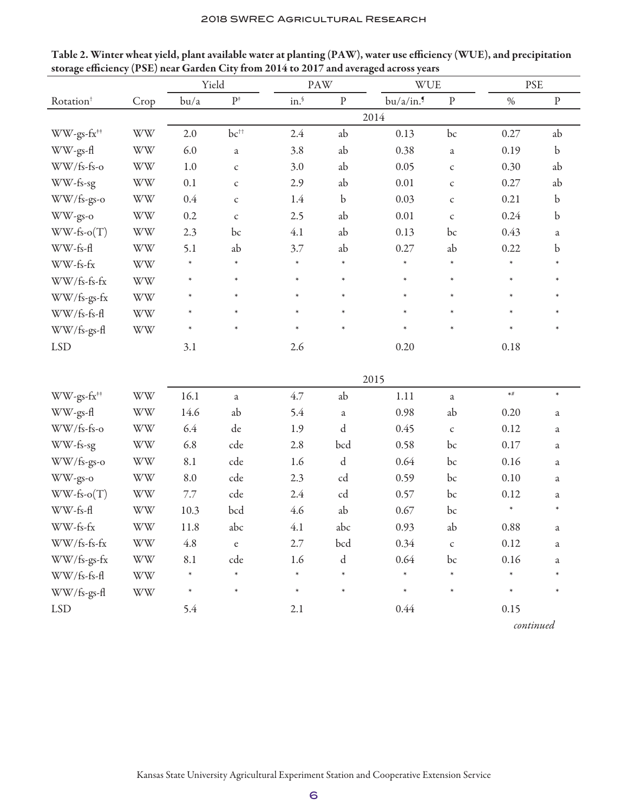|                        |                                                            | Yield   |                    |        | PAW         | <b>WUE</b> |              | <b>PSE</b> |             |
|------------------------|------------------------------------------------------------|---------|--------------------|--------|-------------|------------|--------------|------------|-------------|
| Rotation <sup>+</sup>  | Crop                                                       | bu/a    | $\mathbf{P}^*$     | in.    | $\rm P$     | bu/a/in.9  | $\, {\bf p}$ | $\%$       | ${\bf p}$   |
|                        |                                                            |         |                    |        |             | 2014       |              |            |             |
| WW-gs-fx <sup>##</sup> | <b>WW</b>                                                  | 2.0     | $bc^{++}$          | 2.4    | ab          | 0.13       | bc           | 0.27       | ab          |
| WW-gs-fl               | <b>WW</b>                                                  | 6.0     | a                  | 3.8    | ab          | 0.38       | a            | 0.19       | $\mathbf b$ |
| WW/fs-fs-o             | <b>WW</b>                                                  | 1.0     | $\mathsf{C}$       | 3.0    | ab          | 0.05       | $\mathsf C$  | 0.30       | ab          |
| WW-fs-sg               | <b>WW</b>                                                  | 0.1     | $\mathsf C$        | 2.9    | ab          | 0.01       | $\mathsf{C}$ | 0.27       | ab          |
| WW/fs-gs-o             | <b>WW</b>                                                  | $0.4\,$ | $\mathsf{C}$       | 1.4    | $\mathbf b$ | 0.03       | $\mathsf C$  | 0.21       | $\mathbf b$ |
| WW-gs-o                | <b>WW</b>                                                  | 0.2     | $\mathsf{C}$       | 2.5    | ab          | 0.01       | $\mathsf C$  | 0.24       | $\mathbf b$ |
| $WW-fs-o(T)$           | <b>WW</b>                                                  | 2.3     | bc                 | 4.1    | ab          | 0.13       | bc           | 0.43       | a           |
| WW-fs-fl               | <b>WW</b>                                                  | 5.1     | ab                 | 3.7    | ab          | 0.27       | ab           | 0.22       | b           |
| WW-fs-fx               | <b>WW</b>                                                  | $\ast$  | $\ast$             | $\ast$ | $\ast$      | $\ast$     | $\ast$       | $\ast$     |             |
| WW/fs-fs-fx            | <b>WW</b>                                                  | $\ast$  | $\ast$             | $\ast$ | $\ast$      | $\ast$     | $\ast$       | $\ast$     | $\ast$      |
| WW/fs-gs-fx            | <b>WW</b>                                                  | $\ast$  | $\ast$             | $\ast$ | $\ast$      | $\ast$     | $\ast$       | $\ast$     | $\ast$      |
| WW/fs-fs-fl            | <b>WW</b>                                                  | $\ast$  | $\ast$             | $\ast$ | $\ast$      | $\ast$     | $\ast$       | $\ast$     | $\ast$      |
| WW/fs-gs-fl            | <b>WW</b>                                                  | $\ast$  | $\ast$             | $\ast$ | $\ast$      | $\ast$     | $\ast$       | $\ast$     | $\ast$      |
| <b>LSD</b>             |                                                            | 3.1     |                    | 2.6    |             | 0.20       |              | 0.18       |             |
|                        |                                                            |         |                    |        |             |            |              |            |             |
|                        |                                                            |         |                    |        |             | 2015       |              |            |             |
| WW-gs-fx <sup>##</sup> | $\ensuremath{\text{W}}\xspace\ensuremath{\text{W}}\xspace$ | 16.1    | $\rm{a}$           | 4.7    | ab          | 1.11       | a            | $\star\#$  | $\ast$      |
| WW-gs-fl               | <b>WW</b>                                                  | 14.6    | ab                 | 5.4    | $\rm{a}$    | 0.98       | ab           | 0.20       | $\rm{a}$    |
| WW/fs-fs-o             | <b>WW</b>                                                  | 6.4     | de                 | 1.9    | d           | 0.45       | $\mathsf{C}$ | 0.12       | a           |
| WW-fs-sg               | WW                                                         | 6.8     | cde                | 2.8    | bcd         | 0.58       | bc           | 0.17       | $\rm{a}$    |
| WW/fs-gs-o             | <b>WW</b>                                                  | 8.1     | cde                | 1.6    | $\rm d$     | 0.64       | bc           | 0.16       | $\rm{a}$    |
| WW-gs-o                | <b>WW</b>                                                  | 8.0     | cde                | 2.3    | cd          | 0.59       | bc           | 0.10       | a           |
| $WW-fs-o(T)$           | <b>WW</b>                                                  | 7.7     | cde                | 2.4    | cd          | 0.57       | bc           | 0.12       | $\rm{a}$    |
| WW-fs-fl               | <b>WW</b>                                                  | 10.3    | bcd                | 4.6    | ab          | 0.67       | bc           | $\ast$     | $\ast$      |
| WW-fs-fx               | <b>WW</b>                                                  | 11.8    | abc                | 4.1    | abc         | 0.93       | ab           | 0.88       | a           |
| WW/fs-fs-fx            | WW                                                         | $4.8\,$ | $\mathbf{e}% _{B}$ | 2.7    | bcd         | 0.34       | $\mathsf{C}$ | 0.12       | a           |
| WW/fs-gs-fx            | $\ensuremath{\text{W}}\xspace\ensuremath{\text{W}}\xspace$ | 8.1     | cde                | 1.6    | $\rm d$     | 0.64       | bc           | $0.16\,$   | a           |
| WW/fs-fs-fl            | <b>WW</b>                                                  | $\ast$  | $\ast$             | $\ast$ | $\ast$      | $\ast$     |              | $\ast$     |             |
| WW/fs-gs-fl            | $\ensuremath{\text{W}}\xspace\ensuremath{\text{W}}\xspace$ | $\ast$  | $\ast$             | $\ast$ | $\ast$      | $\ast$     | $\ast$       | $\ast$     | $\ast$      |
| <b>LSD</b>             |                                                            | 5.4     |                    | 2.1    |             | 0.44       |              | 0.15       |             |

Table 2. Winter wheat yield, plant available water at planting (PAW), water use efficiency (WUE), and precipitation storage efficiency (PSE) near Garden City from 2014 to 2017 and averaged across years

*continued*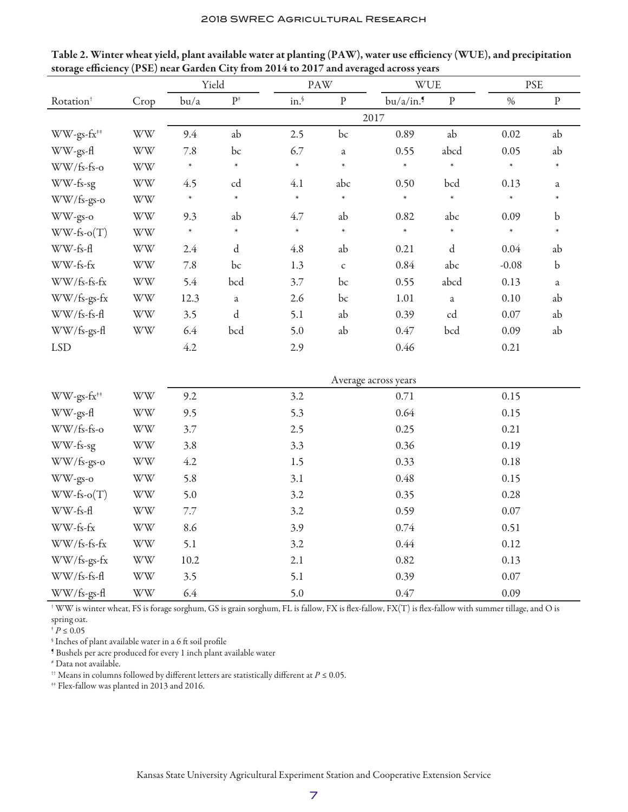|                        |                                                            | Yield  |                |                 | <b>PAW</b>   | WUE                  |              | <b>PSE</b> |              |
|------------------------|------------------------------------------------------------|--------|----------------|-----------------|--------------|----------------------|--------------|------------|--------------|
| Rotation <sup>+</sup>  | Crop                                                       | bu/a   | $\mathbf{P}^*$ | $\text{in.}^\S$ | ${\bf P}$    | bu/a/in.9            | $\rm P$      | $\%$       | $\, {\bf p}$ |
|                        |                                                            |        |                |                 |              | 2017                 |              |            |              |
| WW-gs-fx <sup>##</sup> | <b>WW</b>                                                  | 9.4    | ab             | 2.5             | bc           | 0.89                 | ab           | 0.02       | ab           |
| WW-gs-fl               | <b>WW</b>                                                  | 7.8    | bc             | 6.7             | $\mathbf{a}$ | 0.55                 | abcd         | 0.05       | ab           |
| WW/fs-fs-o             | <b>WW</b>                                                  | $\ast$ | $\ast$         | $\ast$          | $\ast$       | $\ast$               | $\ast$       | $\ast$     | $\ast$       |
| WW-fs-sg               | <b>WW</b>                                                  | 4.5    | cd             | 4.1             | abc          | 0.50                 | bcd          | 0.13       | $\rm{a}$     |
| WW/fs-gs-o             | <b>WW</b>                                                  | $\ast$ | $\ast$         | $\ast$          | $\ast$       | $\ast$               | $\ast$       | $\ast$     | $\ast$       |
| WW-gs-o                | $\ensuremath{\text{W}}\xspace\ensuremath{\text{W}}\xspace$ | 9.3    | ab             | 4.7             | ab           | 0.82                 | abc          | 0.09       | $\mathbf b$  |
| $WW-fs-o(T)$           | <b>WW</b>                                                  | $\ast$ | $\ast$         | $\ast$          | $\ast$       | $\ast$               | $\ast$       | $\ast$     | $\ast$       |
| WW-fs-fl               | <b>WW</b>                                                  | 2.4    | ${\rm d}$      | 4.8             | ab           | 0.21                 | $\mathbf d$  | 0.04       | ab           |
| WW-fs-fx               | $\ensuremath{\text{W}}\xspace\ensuremath{\text{W}}\xspace$ | 7.8    | bc             | 1.3             | $\mathsf{C}$ | 0.84                 | abc          | $-0.08$    | $\mathbf b$  |
| WW/fs-fs-fx            | $\ensuremath{\text{W}}\xspace\ensuremath{\text{W}}\xspace$ | 5.4    | bcd            | 3.7             | bc           | 0.55                 | abcd         | 0.13       | $\rm{a}$     |
| WW/fs-gs-fx            | $\ensuremath{\text{W}}\xspace\ensuremath{\text{W}}\xspace$ | 12.3   | $\mathfrak{a}$ | 2.6             | bc           | 1.01                 | $\mathbf{a}$ | 0.10       | ab           |
| WW/fs-fs-fl            | <b>WW</b>                                                  | 3.5    | ${\rm d}$      | 5.1             | ab           | 0.39                 | cd           | $0.07\,$   | ab           |
| WW/fs-gs-fl            | <b>WW</b>                                                  | 6.4    | bcd            | 5.0             | ab           | $0.47\,$             | bcd          | 0.09       | ab           |
| <b>LSD</b>             |                                                            | 4.2    |                | 2.9             |              | 0.46                 |              | 0.21       |              |
|                        |                                                            |        |                |                 |              |                      |              |            |              |
|                        |                                                            |        |                |                 |              | Average across years |              |            |              |
| WW-gs-fx <sup>**</sup> | $\ensuremath{\text{W}}\xspace\ensuremath{\text{W}}\xspace$ | 9.2    |                | 3.2             |              | 0.71                 |              | 0.15       |              |
| WW-gs-fl               | <b>WW</b>                                                  | 9.5    |                | 5.3             |              | 0.64                 |              | 0.15       |              |
| WW/fs-fs-o             | <b>WW</b>                                                  | 3.7    |                | 2.5             |              | 0.25                 |              | 0.21       |              |
| WW-fs-sg               | <b>WW</b>                                                  | 3.8    |                | 3.3             |              | 0.36                 |              | 0.19       |              |
| WW/fs-gs-o             | <b>WW</b>                                                  | 4.2    |                | 1.5             |              | 0.33                 |              | 0.18       |              |
| WW-gs-o                | <b>WW</b>                                                  | 5.8    |                | 3.1             |              | 0.48                 |              | 0.15       |              |
| $WW-fs-o(T)$           | <b>WW</b>                                                  | 5.0    |                | 3.2             |              | 0.35                 |              | 0.28       |              |
| WW-fs-fl               | <b>WW</b>                                                  | 7.7    |                | 3.2             |              | 0.59                 |              | $0.07\,$   |              |
| WW-fs-fx               | <b>WW</b>                                                  | 8.6    |                | 3.9             |              | 0.74                 |              | 0.51       |              |
| WW/fs-fs-fx            | <b>WW</b>                                                  | 5.1    |                | 3.2             |              | 0.44                 |              | 0.12       |              |
| WW/fs-gs-fx            | <b>WW</b>                                                  | 10.2   |                | 2.1             |              | 0.82                 |              | 0.13       |              |
| WW/fs-fs-fl            | <b>WW</b>                                                  | 3.5    |                | 5.1             |              | 0.39                 |              | $0.07\,$   |              |
| WW/fs-gs-fl            | <b>WW</b>                                                  | 6.4    |                | 5.0             |              | 0.47                 |              | 0.09       |              |

Table 2. Winter wheat yield, plant available water at planting (PAW), water use efficiency (WUE), and precipitation storage efficiency (PSE) near Garden City from 2014 to 2017 and averaged across years

 $^\dagger$  WW is winter wheat, FS is forage sorghum, GS is grain sorghum, FL is fallow, FX is flex-fallow, FX(T) is flex-fallow with summer tillage, and O is spring oat.

 $^\dagger\,P \leq 0.05$ 

 $\,$  Inches of plant available water in a 6 ft soil profile

¶ Bushels per acre produced for every 1 inch plant available water

# Data not available.

 $^{ \uparrow\uparrow}$  Means in columns followed by different letters are statistically different at  $P \leq 0.05.$ 

<sup>##</sup> Flex-fallow was planted in 2013 and 2016.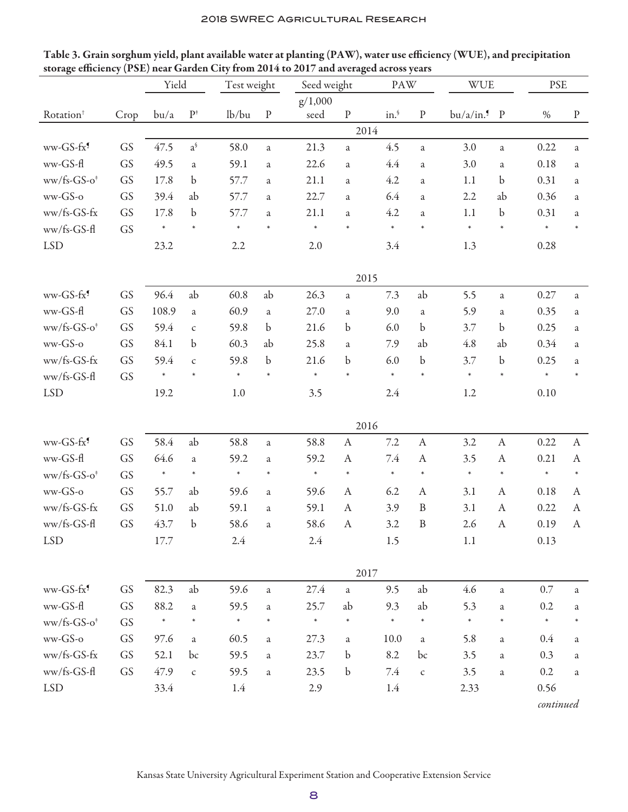| Table 3. Grain sorghum yield, plant available water at planting (PAW), water use efficiency (WUE), and precipitation |
|----------------------------------------------------------------------------------------------------------------------|
| storage efficiency (PSE) near Garden City from 2014 to 2017 and averaged across years                                |

| $\cdots$              | $\sim$ $\sim$ $/$ | Yield  |                   | Test weight |                | Seed weight<br>PAW |                  | <b>WUE</b> |                  | <b>PSE</b> |                  |           |                  |
|-----------------------|-------------------|--------|-------------------|-------------|----------------|--------------------|------------------|------------|------------------|------------|------------------|-----------|------------------|
|                       |                   |        |                   |             |                | g/1,000            |                  |            |                  |            |                  |           |                  |
| Rotation <sup>†</sup> | Crop              | bu/a   | $\mathbf{P}^*$    | lb/bu       | $\rm P$        | seed               | ${\bf P}$        | in.        | ${\bf P}$        | bu/a/in.   | $\mathbf{P}$     | $\%$      | $\, {\bf p}$     |
|                       |                   |        |                   |             |                |                    |                  | 2014       |                  |            |                  |           |                  |
| ww-GS-fx <sup>9</sup> | GS                | 47.5   | $a^{\mathcal{S}}$ | 58.0        | $\rm{a}$       | 21.3               | $\mathbf{a}$     | 4.5        | a                | 3.0        | $\rm{a}$         | 0.22      | a                |
| ww-GS-fl              | GS                | 49.5   | a                 | 59.1        | $\rm{a}$       | 22.6               | a                | 4.4        | a                | 3.0        | $\rm{a}$         | 0.18      | a                |
| $ww/fs-GS-o^*$        | GS                | 17.8   | $\mathbf b$       | 57.7        | a              | 21.1               | a                | 4.2        | a                | 1.1        | b                | 0.31      | a                |
| ww-GS-o               | GS                | 39.4   | ab                | 57.7        | a              | 22.7               | a                | 6.4        | a                | 2.2        | ab               | 0.36      | a                |
| ww/fs-GS-fx           | GS                | 17.8   | $\mathbf b$       | 57.7        | a              | 21.1               | a                | 4.2        | a                | 1.1        | $\mathbf b$      | 0.31      | a                |
| ww/fs-GS-fl           | GS                | $\ast$ |                   |             | $\ast$         | $\ast$             | $\ast$           | $\ast$     | $\ast$           | $\ast$     | $\ast$           | $\ast$    |                  |
| <b>LSD</b>            |                   | 23.2   |                   | 2.2         |                | 2.0                |                  | 3.4        |                  | 1.3        |                  | 0.28      |                  |
|                       |                   |        |                   |             |                |                    |                  | 2015       |                  |            |                  |           |                  |
| ww-GS-fx <sup>9</sup> | GS                | 96.4   | ab                | 60.8        | ab             | 26.3               | a                | 7.3        | ab               | 5.5        | a                | 0.27      | $\rm{a}$         |
| ww-GS-fl              | GS                | 108.9  | $\mathbf{a}$      | 60.9        | $\rm{a}$       | 27.0               | a                | 9.0        | $\rm{a}$         | 5.9        | $\rm{a}$         | 0.35      | a                |
| $ww/fs-GS-o^*$        | GS                | 59.4   | $\mathsf{C}$      | 59.8        | b              | 21.6               | $\mathbf b$      | 6.0        | $\mathbf b$      | 3.7        | b                | 0.25      | a                |
| ww-GS-o               | GS                | 84.1   | $\mathbf b$       | 60.3        | ab             | 25.8               | a                | 7.9        | ab               | 4.8        | ab               | 0.34      | a                |
| ww/fs-GS-fx           | GS                | 59.4   | $\mathsf{C}$      | 59.8        | $\mathbf b$    | 21.6               | $\mathbf b$      | 6.0        | $\mathbf b$      | 3.7        | b                | 0.25      | $\mathfrak{a}$   |
| ww/fs-GS-fl           | GS                | $\ast$ | $\ast$            | $\ast$      |                | $\ast$             | $\ast$           | $\ast$     | $\ast$           | $\ast$     | $\ast$           | $\ast$    |                  |
| <b>LSD</b>            |                   | 19.2   |                   | 1.0         |                | 3.5                |                  | 2.4        |                  | 1.2        |                  | 0.10      |                  |
|                       |                   |        |                   |             |                |                    |                  | 2016       |                  |            |                  |           |                  |
| ww-GS-fx <sup>9</sup> | GS                | 58.4   | ab                | 58.8        | $\rm{a}$       | 58.8               | $\boldsymbol{A}$ | 7.2        | $\boldsymbol{A}$ | 3.2        | $\boldsymbol{A}$ | 0.22      | $\boldsymbol{A}$ |
| ww-GS-fl              | GS                | 64.6   | a                 | 59.2        | a              | 59.2               | $\boldsymbol{A}$ | $7.4\,$    | $\boldsymbol{A}$ | 3.5        | $\boldsymbol{A}$ | 0.21      | $\mathbf{A}$     |
| $ww/fs-GS-o^*$        | GS                | $\ast$ | $\ast$            | $\ast$      | $\ast$         | $\ast$             | $\ast$           | $\ast$     | $\ast$           | $\ast$     | $\ast$           | $\ast$    | $\ast$           |
| ww-GS-o               | GS                | 55.7   | ab                | 59.6        | $\rm{a}$       | 59.6               | A                | 6.2        | A                | 3.1        | $\boldsymbol{A}$ | 0.18      | A                |
| ww/fs-GS-fx           | GS                | 51.0   | ab                | 59.1        | a              | 59.1               | A                | 3.9        | $\, {\bf B}$     | 3.1        | $\mathbf{A}$     | 0.22      | $\boldsymbol{A}$ |
| ww/fs-GS-fl           | GS                | 43.7   | $\mathbf b$       | 58.6        | a              | 58.6               | $\boldsymbol{A}$ | 3.2        | $\, {\bf B}$     | 2.6        | $\mathbf{A}$     | 0.19      | $\boldsymbol{A}$ |
| <b>LSD</b>            |                   | 17.7   |                   | 2.4         |                | 2.4                |                  | 1.5        |                  | 1.1        |                  | 0.13      |                  |
|                       |                   |        |                   |             |                |                    |                  | 2017       |                  |            |                  |           |                  |
| ww-GS-fx <sup>9</sup> | GS                | 82.3   | ab                | 59.6        | a              | 27.4               | a                | 9.5        | ab               | 4.6        | $\rm{a}$         | $0.7\,$   | a                |
| ww-GS-fl              | GS                | 88.2   | $\mathbf{a}$      | 59.5        | $\mathfrak{a}$ | 25.7               | ab               | 9.3        | ab               | 5.3        | $\rm{a}$         | 0.2       | a                |
| $ww/fs-GS-o^*$        | GS                | $\ast$ | $\ast$            | $\ast$      | $\ast$         | $\ast$             | $\ast$           | $\ast$     | $\ast$           | $\ast$     | $\ast$           | $\ast$    |                  |
| ww-GS-o               | GS                | 97.6   | $\mathbf{a}$      | 60.5        | a              | 27.3               | a                | 10.0       | $\rm{a}$         | 5.8        | a                | 0.4       | a                |
| ww/fs-GS-fx           | GS                | 52.1   | bc                | 59.5        | $\mathfrak{a}$ | 23.7               | $\mathbf b$      | 8.2        | bc               | 3.5        | $\rm{a}$         | 0.3       | a                |
| ww/fs-GS-fl           | GS                | 47.9   | $\mathsf{C}$      | 59.5        | $\rm{a}$       | 23.5               | $\mathbf b$      | 7.4        | $\mathsf{C}$     | 3.5        | a                | 0.2       | a                |
| <b>LSD</b>            |                   | 33.4   |                   | 1.4         |                | 2.9                |                  | 1.4        |                  | 2.33       |                  | 0.56      |                  |
|                       |                   |        |                   |             |                |                    |                  |            |                  |            |                  | continued |                  |

Kansas State University Agricultural Experiment Station and Cooperative Extension Service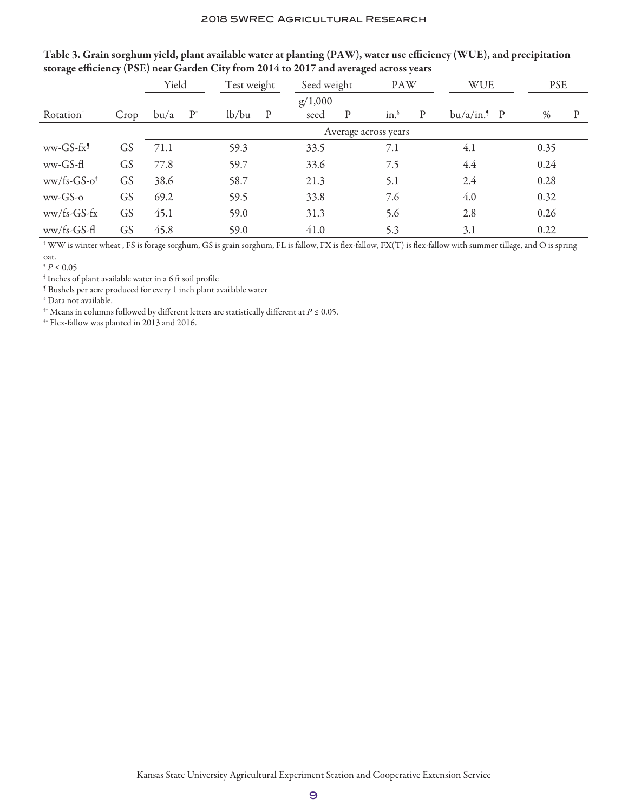|                       |           | Yield |                | Test weight |                      | Seed weight |              | <b>PAW</b> |              | <b>WUE</b>                |  | <b>PSE</b> |   |
|-----------------------|-----------|-------|----------------|-------------|----------------------|-------------|--------------|------------|--------------|---------------------------|--|------------|---|
|                       |           |       |                | g/1,000     |                      |             |              |            |              |                           |  |            |   |
| Rotation <sup>†</sup> | Crop      | bu/a  | $\mathrm{P}^*$ | lb/bu       | $\mathbf{P}$         | seed        | $\mathbf{P}$ | in.        | $\mathbf{P}$ | $bu/a/in.$ <sup>9</sup> P |  | $\%$       | P |
|                       |           |       |                |             | Average across years |             |              |            |              |                           |  |            |   |
| $ww-GS-fx9$           | <b>GS</b> | 71.1  |                | 59.3        |                      | 33.5        |              | 7.1        |              | 4.1                       |  | 0.35       |   |
| ww-GS-fl              | <b>GS</b> | 77.8  |                | 59.7        |                      | 33.6        |              | 7.5        |              | 4.4                       |  | 0.24       |   |
| $ww/fs-GS-o†$         | GS        | 38.6  |                | 58.7        |                      | 21.3        |              | 5.1        |              | 2.4                       |  | 0.28       |   |
| $ww-GS-o$             | GS        | 69.2  |                | 59.5        |                      | 33.8        |              | 7.6        |              | 4.0                       |  | 0.32       |   |
| $ww/fs-GS-fx$         | GS        | 45.1  |                | 59.0        |                      | 31.3        |              | 5.6        |              | 2.8                       |  | 0.26       |   |
| $ww/fs-GS-H$          | GS        | 45.8  |                | 59.0        |                      | 41.0        |              | 5.3        |              | 3.1                       |  | 0.22       |   |

| Table 3. Grain sorghum yield, plant available water at planting (PAW), water use efficiency (WUE), and precipitation |  |
|----------------------------------------------------------------------------------------------------------------------|--|
| storage efficiency (PSE) near Garden City from 2014 to 2017 and averaged across years                                |  |

 $^{\dagger}$  WW is winter wheat , FS is forage sorghum, GS is grain sorghum, FL is fallow, FX is flex-fallow, FX(T) is flex-fallow with summer tillage, and O is spring oat.

 ${}^{\mathbf{\ast}} P \leq 0.05$ 

§ Inches of plant available water in a 6 ft soil profile

¶ Bushels per acre produced for every 1 inch plant available water

# Data not available.

†† Means in columns followed by different letters are statistically different at *P* ≤ 0.05.

 $^{\rm \textup{++}}$  Flex-fallow was planted in 2013 and 2016.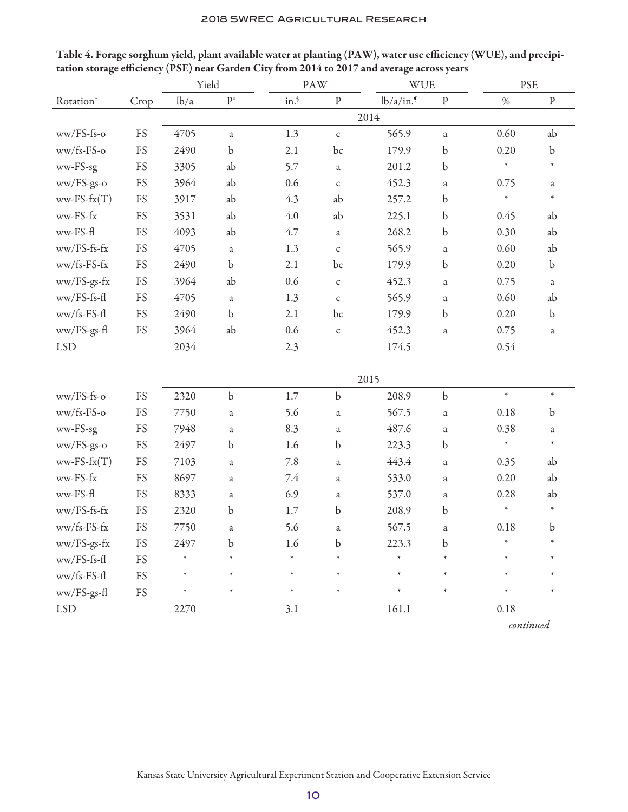|                       |                                    | Yield |                | PAW    |                | <b>WUE</b> |             | <b>PSE</b> |             |  |
|-----------------------|------------------------------------|-------|----------------|--------|----------------|------------|-------------|------------|-------------|--|
| Rotation <sup>+</sup> | Crop                               | lb/a  | $\mathbf{P}^*$ | in.    | $\, {\bf p}$   | lb/a/in.   | ${\bf P}$   | $\%$       | $\mathbf p$ |  |
|                       |                                    |       |                |        |                | 2014       |             |            |             |  |
| ww/FS-fs-o            | FS                                 | 4705  | a              | 1.3    | $\mathsf{C}$   | 565.9      | a           | 0.60       | ab          |  |
| ww/fs-FS-o            | FS                                 | 2490  | $\mathbf b$    | 2.1    | bc             | 179.9      | $\mathbf b$ | 0.20       | $\mathbf b$ |  |
| ww-FS-sg              | FS                                 | 3305  | ab             | 5.7    | $\mathfrak{a}$ | 201.2      | $\mathbf b$ | $\ast$     | $\ast$      |  |
| ww/FS-gs-o            | FS                                 | 3964  | ab             | 0.6    | $\mathsf{C}$   | 452.3      | $\rm{a}$    | 0.75       | $\rm{a}$    |  |
| $ww-FS-fx(T)$         | FS                                 | 3917  | ab             | 4.3    | ab             | 257.2      | $\mathbf b$ | $\ast$     | $\ast$      |  |
| ww-FS-fx              | FS                                 | 3531  | ab             | 4.0    | ab             | 225.1      | $\mathbf b$ | 0.45       | ab          |  |
| ww-FS-fl              | FS                                 | 4093  | ab             | 4.7    | a              | 268.2      | $\mathbf b$ | 0.30       | ab          |  |
| ww/FS-fs-fx           | FS                                 | 4705  | $\mathfrak{a}$ | 1.3    | $\mathsf{C}$   | 565.9      | a           | 0.60       | ab          |  |
| ww/fs-FS-fx           | FS                                 | 2490  | $\mathbf b$    | 2.1    | bc             | 179.9      | b           | 0.20       | $\mathbf b$ |  |
| ww/FS-gs-fx           | FS                                 | 3964  | ab             | 0.6    | $\mathsf C$    | 452.3      | a           | 0.75       | $\rm{a}$    |  |
| ww/FS-fs-fl           | FS                                 | 4705  | $\mathfrak{a}$ | 1.3    | $\mathsf C$    | 565.9      | a           | 0.60       | ab          |  |
| ww/fs-FS-fl           | FS                                 | 2490  | $\mathbf b$    | 2.1    | bc             | 179.9      | $\mathbf b$ | 0.20       | $\mathbf b$ |  |
| ww/FS-gs-fl           | FS                                 | 3964  | ab             | 0.6    | $\mathsf{C}$   | 452.3      | $\rm{a}$    | 0.75       | $\rm{a}$    |  |
| <b>LSD</b>            |                                    | 2034  |                | 2.3    |                | 174.5      |             | 0.54       |             |  |
|                       |                                    |       |                |        |                |            |             |            |             |  |
|                       |                                    |       |                |        |                | 2015       |             |            |             |  |
| ww/FS-fs-o            | FS                                 | 2320  | $\mathbf b$    | 1.7    | $\mathbf b$    | 208.9      | $\mathbf b$ | $\ast$     | $\ast$      |  |
| ww/fs-FS-o            | FS                                 | 7750  | $\mathbf{a}$   | 5.6    | $\mathfrak{a}$ | 567.5      | a           | 0.18       | $\mathbf b$ |  |
| ww-FS-sg              | FS                                 | 7948  | $\mathbf{a}$   | 8.3    | a              | 487.6      | a           | 0.38       | $\rm{a}$    |  |
| ww/FS-gs-o            | FS                                 | 2497  | $\mathbf b$    | 1.6    | $\mathbf b$    | 223.3      | $\mathbf b$ | $\ast$     | $\ast$      |  |
| $ww-FS-fx(T)$         | FS                                 | 7103  | $\mathbf{a}$   | 7.8    | a              | 443.4      | a           | 0.35       | ab          |  |
| ww-FS-fx              | FS                                 | 8697  | $\mathfrak{a}$ | 7.4    | a              | 533.0      | a           | 0.20       | ab          |  |
| ww-FS-fl              | FS                                 | 8333  | $\mathfrak{a}$ | 6.9    | a              | 537.0      | $\rm{a}$    | 0.28       | ab          |  |
| ww/FS-fs-fx           | FS                                 | 2320  | $\mathbf b$    | 1.7    | $\mathbf b$    | 208.9      | b           | $\ast$     | $\ast$      |  |
| ww/fs-FS-fx           | FS                                 | 7750  | a              | 5.6    | a              | 567.5      | a           | 0.18       | b           |  |
| ww/FS-gs-fx           | FS                                 | 2497  | $\mathbf b$    | 1.6    | $\mathbf b$    | 223.3      | b           |            |             |  |
| ww/FS-fs-fl           | FS                                 |       |                |        |                |            |             |            |             |  |
| ww/fs-FS-fl           | ${\mathop{\mathrm {FS}}\nolimits}$ |       | $\ast$         | $\ast$ |                | $\ast$     |             |            |             |  |
| ww/FS-gs-fl           | FS                                 |       | $\ast$         | $\ast$ | $\ast$         | $\ast$     | $\ast$      |            | $\ast$      |  |
| <b>LSD</b>            |                                    | 2270  |                | 3.1    |                | 161.1      |             | 0.18       |             |  |

Table 4. Forage sorghum yield, plant available water at planting (PAW), water use efficiency (WUE), and precipitation storage efficiency (PSE) near Garden City from 2014 to 2017 and average across years

*continued*

Kansas State University Agricultural Experiment Station and Cooperative Extension Service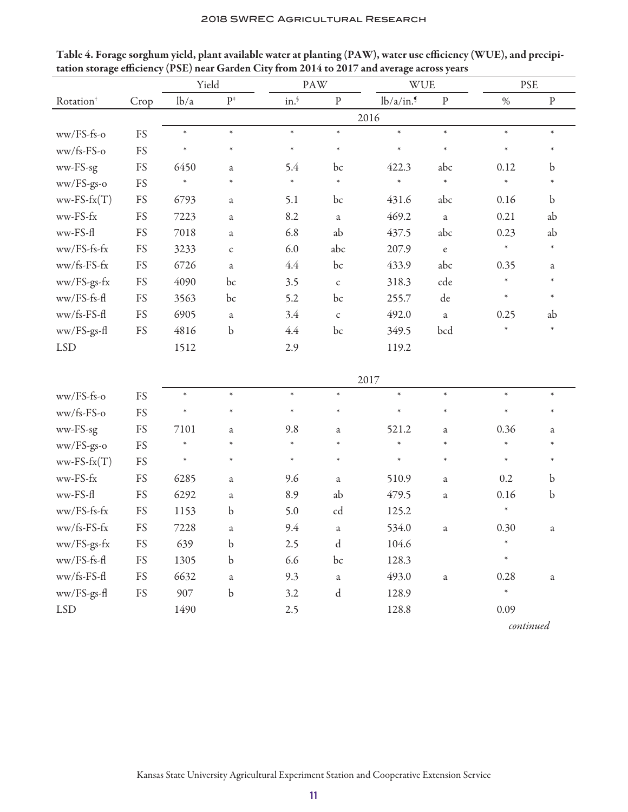|                       |                                    | Yield  |                |        | PAW          | <b>WUE</b> |                                            | <b>PSE</b> |             |  |
|-----------------------|------------------------------------|--------|----------------|--------|--------------|------------|--------------------------------------------|------------|-------------|--|
| Rotation <sup>†</sup> | Crop                               | lb/a   | $\mathbf{P}^*$ | in.    | $\mathbf{P}$ | lb/a/in.   | $\, {\bf p}$                               | $\%$       | ${\bf p}$   |  |
|                       |                                    |        |                |        |              | 2016       |                                            |            |             |  |
| ww/FS-fs-o            | FS                                 | $\ast$ | $\ast$         | $\ast$ | $\ast$       | $\ast$     | $\ast$                                     | $\ast$     | $\ast$      |  |
| ww/fs-FS-o            | FS                                 | $\ast$ | $\ast$         | $\ast$ | $\ast$       | $\ast$     | $\ast$                                     | $\ast$     | $\ast$      |  |
| ww-FS-sg              | FS                                 | 6450   | a              | 5.4    | bc           | 422.3      | abc                                        | 0.12       | b           |  |
| ww/FS-gs-o            | FS                                 | $\ast$ | $\ast$         | $\ast$ | $\ast$       | $\ast$     | $\ast$                                     | $\ast$     |             |  |
| $ww-FS-fx(T)$         | FS                                 | 6793   | $\mathfrak a$  | 5.1    | bc           | 431.6      | abc                                        | 0.16       | $\mathbf b$ |  |
| ww-FS-fx              | FS                                 | 7223   | $\rm{a}$       | 8.2    | $\rm{a}$     | 469.2      | $\rm{a}$                                   | 0.21       | ab          |  |
| ww-FS-fl              | FS                                 | 7018   | a              | 6.8    | ab           | 437.5      | abc                                        | 0.23       | ab          |  |
| ww/FS-fs-fx           | FS                                 | 3233   | $\mathsf C$    | 6.0    | abc          | 207.9      | $\mathbf{e}% _{0}\left( \mathbf{1}\right)$ | $\ast$     | $\ast$      |  |
| ww/fs-FS-fx           | FS                                 | 6726   | $\mathbf{a}$   | 4.4    | bc           | 433.9      | abc                                        | 0.35       | a           |  |
| ww/FS-gs-fx           | FS                                 | 4090   | bc             | 3.5    | $\mathsf{C}$ | 318.3      | cde                                        | $\ast$     | $\ast$      |  |
| ww/FS-fs-fl           | FS                                 | 3563   | bc             | 5.2    | bc           | 255.7      | de                                         | $\ast$     | $\ast$      |  |
| ww/fs-FS-fl           | FS                                 | 6905   | $\rm{a}$       | 3.4    | $\mathsf{C}$ | 492.0      | $\rm{a}$                                   | 0.25       | ab          |  |
| ww/FS-gs-fl           | FS                                 | 4816   | $\mathbf b$    | 4.4    | bc           | 349.5      | bcd                                        | $\ast$     | $\ast$      |  |
| <b>LSD</b>            |                                    | 1512   |                | 2.9    |              | 119.2      |                                            |            |             |  |
|                       |                                    |        |                |        |              |            |                                            |            |             |  |
|                       |                                    |        |                |        |              | 2017       |                                            |            |             |  |
| ww/FS-fs-o            | FS                                 | $\ast$ | $\ast$         | $\ast$ | $\ast$       | $\ast$     | $\ast$                                     | $\ast$     | $\ast$      |  |
| ww/fs-FS-o            | FS                                 | $\ast$ | $\ast$         | $\ast$ | $\ast$       | $\ast$     | $\ast$                                     | $\ast$     | $\ast$      |  |
| ww-FS-sg              | FS                                 | 7101   | a              | 9.8    | a            | 521.2      | a                                          | 0.36       | a           |  |
| ww/FS-gs-o            | FS                                 | $\ast$ | $\ast$         | $\ast$ | $\ast$       | $\ast$     | $\ast$                                     | $\ast$     |             |  |
| $ww-FS-fx(T)$         | FS                                 | $\ast$ | $\ast$         | $\ast$ | $\ast$       | $\ast$     | $\ast$                                     | $\ast$     | $\ast$      |  |
| ww-FS-fx              | FS                                 | 6285   | $\mathfrak a$  | 9.6    | a            | 510.9      | a                                          | 0.2        | b           |  |
| ww-FS-fl              | FS                                 | 6292   | $\rm{a}$       | 8.9    | ab           | 479.5      | $\rm{a}$                                   | 0.16       | $\mathbf b$ |  |
| ww/FS-fs-fx           | FS                                 | 1153   | $\mathbf b$    | 5.0    | cd           | 125.2      |                                            | $\ast$     |             |  |
| ww/fs-FS-fx           | FS                                 | 7228   | a              | 9.4    | a            | 534.0      | a                                          | 0.30       | a           |  |
| ww/FS-gs-fx           | ${\mathop{\mathrm {FS}}\nolimits}$ | 639    | $\mathbf b$    | 2.5    | $\rm d$      | 104.6      |                                            | $\ast$     |             |  |
| ww/FS-fs-fl           | FS                                 | 1305   | b              | 6.6    | bc           | 128.3      |                                            | $\ast$     |             |  |
| ww/fs-FS-fl           | ${\mathop{\mathrm {FS}}\nolimits}$ | 6632   | $\rm{a}$       | 9.3    | $\rm{a}$     | 493.0      | $\rm{a}$                                   | 0.28       | $\rm{a}$    |  |
| ww/FS-gs-fl           | ${\mathop{\mathrm {FS}}\nolimits}$ | 907    | $\mathbf b$    | 3.2    | $\mathbf d$  | 128.9      |                                            | $\ast$     |             |  |
| <b>LSD</b>            |                                    | 1490   |                | 2.5    |              | 128.8      |                                            | 0.09       |             |  |
|                       |                                    |        |                |        |              |            |                                            | continued  |             |  |

Table 4. Forage sorghum yield, plant available water at planting (PAW), water use efficiency (WUE), and precipitation storage efficiency (PSE) near Garden City from 2014 to 2017 and average across years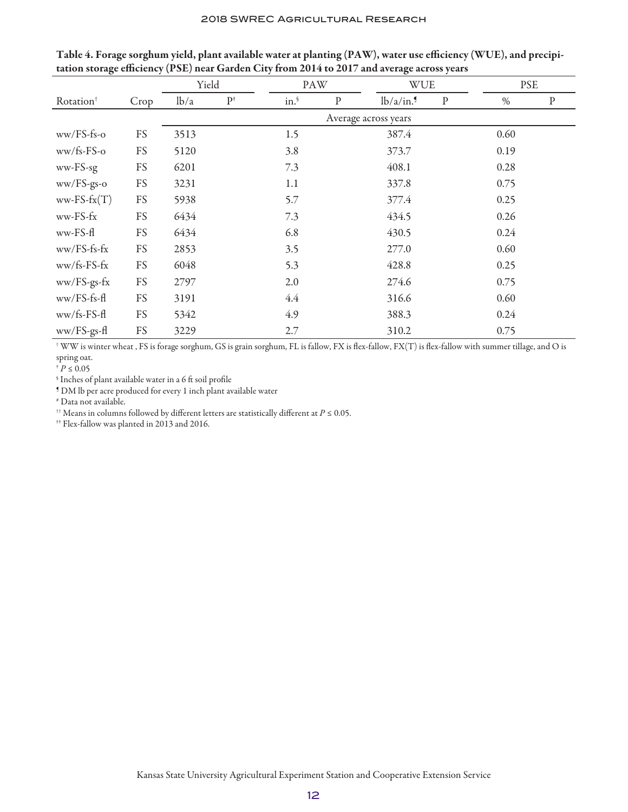|                       |      | Yield |       | <b>WUE</b><br>PAW |              |                      | <b>PSE</b>   |      |           |
|-----------------------|------|-------|-------|-------------------|--------------|----------------------|--------------|------|-----------|
| Rotation <sup>+</sup> | Crop | lb/a  | $P^*$ | in.               | $\, {\bf p}$ | lb/a/in.             | $\, {\bf p}$ | $\%$ | ${\bf P}$ |
|                       |      |       |       |                   |              | Average across years |              |      |           |
| $ww/FS-fs-o$          | FS   | 3513  |       | 1.5               |              | 387.4                |              | 0.60 |           |
| $ww/fs-FS-O$          | FS   | 5120  |       | 3.8               |              | 373.7                |              | 0.19 |           |
| ww-FS-sg              | FS   | 6201  |       | 7.3               |              | 408.1                |              | 0.28 |           |
| ww/FS-gs-o            | FS   | 3231  |       | 1.1               |              | 337.8                |              | 0.75 |           |
| $ww-FS-fx(T)$         | FS   | 5938  |       | 5.7               |              | 377.4                |              | 0.25 |           |
| $ww-FS-fx$            | FS   | 6434  |       | 7.3               |              | 434.5                |              | 0.26 |           |
| ww-FS-fl              | FS   | 6434  |       | 6.8               |              | 430.5                |              | 0.24 |           |
| $ww/FS-fs-fx$         | FS   | 2853  |       | 3.5               |              | 277.0                |              | 0.60 |           |
| $ww/fs-FS-fx$         | FS   | 6048  |       | 5.3               |              | 428.8                |              | 0.25 |           |
| ww/FS-gs-fx           | FS   | 2797  |       | 2.0               |              | 274.6                |              | 0.75 |           |
| $ww/FS-fs-f$          | FS   | 3191  |       | 4.4               |              | 316.6                |              | 0.60 |           |
| $ww/fs-FS-f1$         | FS   | 5342  |       | 4.9               |              | 388.3                |              | 0.24 |           |
| ww/FS-gs-fl           | FS   | 3229  |       | 2.7               |              | 310.2                |              | 0.75 |           |

Table 4. Forage sorghum yield, plant available water at planting (PAW), water use efficiency (WUE), and precipitation storage efficiency (PSE) near Garden City from 2014 to 2017 and average across years

 $^{\dagger}$  WW is winter wheat , FS is forage sorghum, GS is grain sorghum, FL is fallow, FX is flex-fallow, FX(T) is flex-fallow with summer tillage, and O is spring oat.

 $p \leq 0.05$ 

 $\,$  Inches of plant available water in a 6 ft soil profile

¶ DM lb per acre produced for every 1 inch plant available water

# Data not available.

†† Means in columns followed by different letters are statistically different at *P* ≤ 0.05.

‡‡ Flex-fallow was planted in 2013 and 2016.